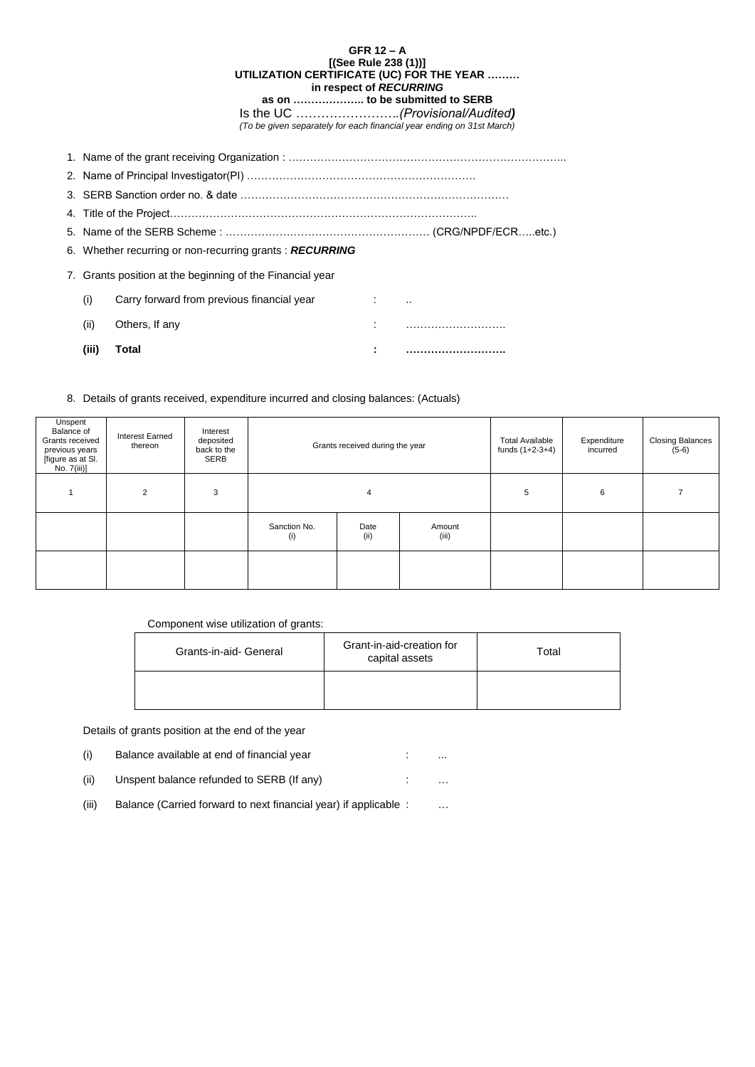| GFR $12 - A$                                                          |  |  |  |  |
|-----------------------------------------------------------------------|--|--|--|--|
| [(See Rule 238 (1))]                                                  |  |  |  |  |
| UTILIZATION CERTIFICATE (UC) FOR THE YEAR                             |  |  |  |  |
| in respect of RECURRING                                               |  |  |  |  |
| as on  to be submitted to SERB                                        |  |  |  |  |
| Is the UC (Provisional/Audited)                                       |  |  |  |  |
| (To be given separately for each financial year ending on 31st March) |  |  |  |  |

| (iii)                                                     | Total                                                                  | ÷ |  |  |  |  |  |
|-----------------------------------------------------------|------------------------------------------------------------------------|---|--|--|--|--|--|
| (ii)                                                      | Others, If any                                                         |   |  |  |  |  |  |
| (i)                                                       | Carry forward from previous financial year<br>and the first control of |   |  |  |  |  |  |
| 7. Grants position at the beginning of the Financial year |                                                                        |   |  |  |  |  |  |
|                                                           | 6. Whether recurring or non-recurring grants: RECURRING                |   |  |  |  |  |  |
|                                                           |                                                                        |   |  |  |  |  |  |
|                                                           |                                                                        |   |  |  |  |  |  |
|                                                           |                                                                        |   |  |  |  |  |  |
|                                                           |                                                                        |   |  |  |  |  |  |
|                                                           |                                                                        |   |  |  |  |  |  |

- (i) Balance available at end of financial year in the state of the state of the state of the state of the state
- (ii) Unspent balance refunded to SERB (If any)  $\qquad \qquad \vdots$  ...
- (iii) Balance (Carried forward to next financial year) if applicable : …
- 

8. Details of grants received, expenditure incurred and closing balances: (Actuals)

| Unspent<br>Balance of<br>Grants received<br>previous years<br>[figure as at SI.<br>No. 7(iii)] | <b>Interest Earned</b><br>thereon | Interest<br>deposited<br>back to the<br>SERB | Grants received during the year |              | <b>Total Available</b><br>funds $(1+2-3+4)$ | Expenditure<br>incurred | <b>Closing Balances</b><br>$(5-6)$ |  |
|------------------------------------------------------------------------------------------------|-----------------------------------|----------------------------------------------|---------------------------------|--------------|---------------------------------------------|-------------------------|------------------------------------|--|
|                                                                                                | $\overline{2}$                    | 3                                            | 4                               |              | 5                                           | 6                       |                                    |  |
|                                                                                                |                                   |                                              | Sanction No.<br>(i)             | Date<br>(ii) | Amount<br>(iii)                             |                         |                                    |  |
|                                                                                                |                                   |                                              |                                 |              |                                             |                         |                                    |  |

## Component wise utilization of grants:

| Grants-in-aid- General | Grant-in-aid-creation for<br>capital assets | Total |
|------------------------|---------------------------------------------|-------|
|                        |                                             |       |

Details of grants position at the end of the year